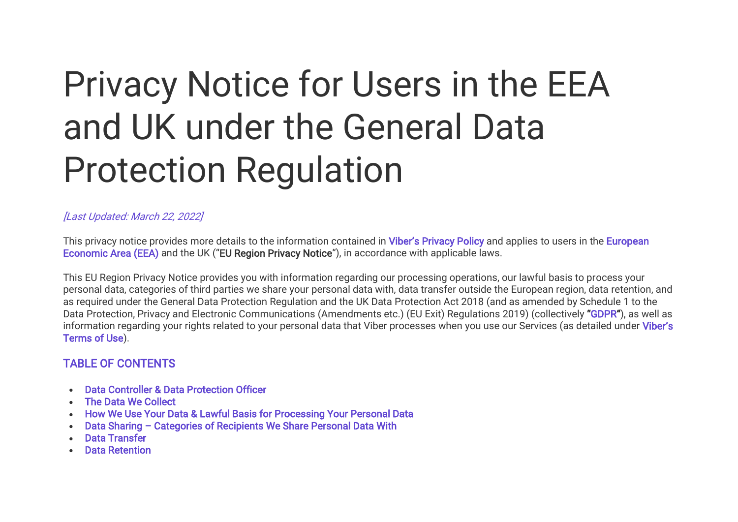# Privacy Notice for Users in the EEA and UK under the General Data Protection Regulation

## [Last Updated: March 22, 2022]

This privacy notice provides more details to the information contained in [Viber's Privacy Policy](https://www.viber.com/en/terms/viber-privacy-policy/) and applies to users in the European [Economic Area \(EEA\)](https://www.gov.uk/eu-eea#:~:text=Austria%2C%20Belgium%2C%20Bulgaria%2C%20Croatia,%2C%20Slovenia%2C%20Spain%20and%20Sweden.) and the UK ("EU Region Privacy Notice"), in accordance with applicable laws.

This EU Region Privacy Notice provides you with information regarding our processing operations, our lawful basis to process your personal data, categories of third parties we share your personal data with, data transfer outside the European region, data retention, and as required under the General Data Protection Regulation and the UK Data Protection Act 2018 (and as amended by Schedule 1 to the Data Protection, Privacy and Electronic Communications (Amendments etc.) (EU Exit) Regulations 2019) (collectively "[GDPR](https://www.eugdpr.org/)"), as well as information regarding your rights related to your personal data that Viber processes when you use our Services (as detailed under Viber's [Terms of Use\)](https://www.viber.com/en/terms/viber-terms-use/).

# TABLE OF CONTENTS

- [Data Controller & Data Protection Officer](https://www.staging.viber.com/en/?post_type=terms&p=43645&preview=true#data-controller)
- [The Data We Collect](https://www.staging.viber.com/en/?post_type=terms&p=43645&preview=true#data-we-collect)
- [How We Use Your Data & Lawful Basis for Processing Your Personal Data](https://www.staging.viber.com/en/?post_type=terms&p=43645&preview=true#how-we-use-your-data)
- Data Sharing – [Categories of Recipients We Share Personal Data With](https://www.staging.viber.com/en/?post_type=terms&p=43645&preview=true#data-sharing)
- [Data Transfer](https://www.staging.viber.com/en/?post_type=terms&p=43645&preview=true#data-transfer)
- [Data Retention](https://www.staging.viber.com/en/?post_type=terms&p=43645&preview=true#data-retention)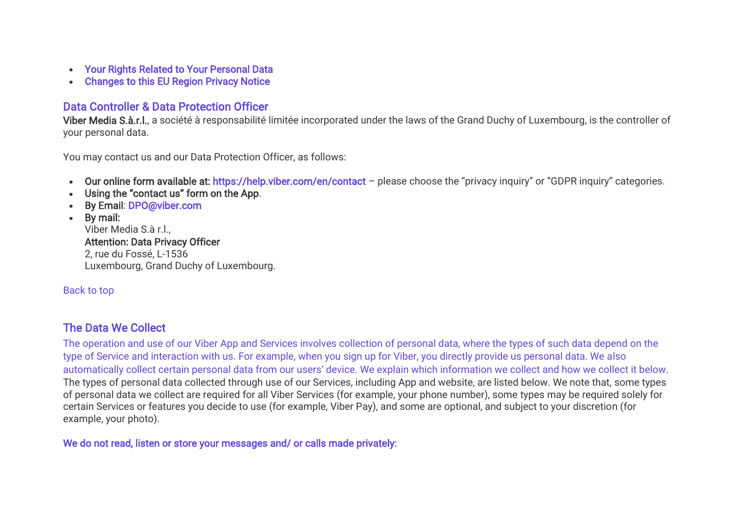- [Your Rights Related to Your Personal Data](https://www.staging.viber.com/en/?post_type=terms&p=43645&preview=true#your-rights)
- [Changes to this EU Region Privacy Notice](https://www.staging.viber.com/en/?post_type=terms&p=43645&preview=true#payments-and-charges)

# Data Controller & Data Protection Officer

Viber Media S.à.r.l., a société à responsabilité limitée incorporated under the laws of the Grand Duchy of Luxembourg, is the controller of your personal data.

You may contact us and our Data Protection Officer, as follows:

- Our online form available at: <https://help.viber.com/en/contact> please choose the "privacy inquiry" or "GDPR inquiry" categories.
- Using the "contact us" form on the App.
- By Email: [DPO@viber.com](mailto:DPO@viber.com)
- By mail:

Viber Media S.à r.l., Attention: Data Privacy Officer 2, rue du Fossé, L-1536 Luxembourg, Grand Duchy of Luxembourg.

# [Back to top](https://www.staging.viber.com/en/?post_type=terms&p=43645&preview=true#top)

# The Data We Collect

The operation and use of our Viber App and Services involves collection of personal data, where the types of such data depend on the type of Service and interaction with us. For example, when you sign up for Viber, you directly provide us personal data. We also automatically collect certain personal data from our users' device. We explain which information we collect and how we collect it below. The types of personal data collected through use of our Services, including App and website, are listed below. We note that, some types of personal data we collect are required for all Viber Services (for example, your phone number), some types may be required solely for certain Services or features you decide to use (for example, Viber Pay), and some are optional, and subject to your discretion (for example, your photo).

We do not read, listen or store your messages and/ or calls made privately: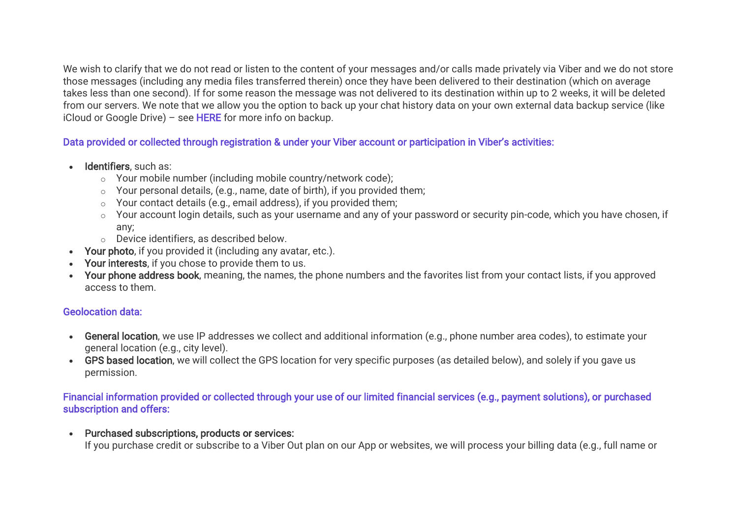We wish to clarify that we do not read or listen to the content of your messages and/or calls made privately via Viber and we do not store those messages (including any media files transferred therein) once they have been delivered to their destination (which on average takes less than one second). If for some reason the message was not delivered to its destination within up to 2 weeks, it will be deleted from our servers. We note that we allow you the option to back up your chat history data on your own external data backup service (like iCloud or Google Drive) – see [HERE](https://www.staging.viber.com/en/?post_type=terms&p=43645&preview=true#backup) for more info on backup.

# Data provided or collected through registration & under your Viber account or participation in Viber's activities:

- Identifiers, such as:
	- o Your mobile number (including mobile country/network code);
	- o Your personal details, (e.g., name, date of birth), if you provided them;
	- o Your contact details (e.g., email address), if you provided them;
	- o Your account login details, such as your username and any of your password or security pin-code, which you have chosen, if any;
	- o Device identifiers, as described below.
- Your photo, if you provided it (including any avatar, etc.).
- Your interests, if you chose to provide them to us.
- Your phone address book, meaning, the names, the phone numbers and the favorites list from your contact lists, if you approved access to them.

# Geolocation data:

- General location, we use IP addresses we collect and additional information (e.g., phone number area codes), to estimate your general location (e.g., city level).
- GPS based location, we will collect the GPS location for very specific purposes (as detailed below), and solely if you gave us permission.

## Financial information provided or collected through your use of our limited financial services (e.g., payment solutions), or purchased subscription and offers:

• Purchased subscriptions, products or services:

If you purchase credit or subscribe to a Viber Out plan on our App or websites, we will process your billing data (e.g., full name or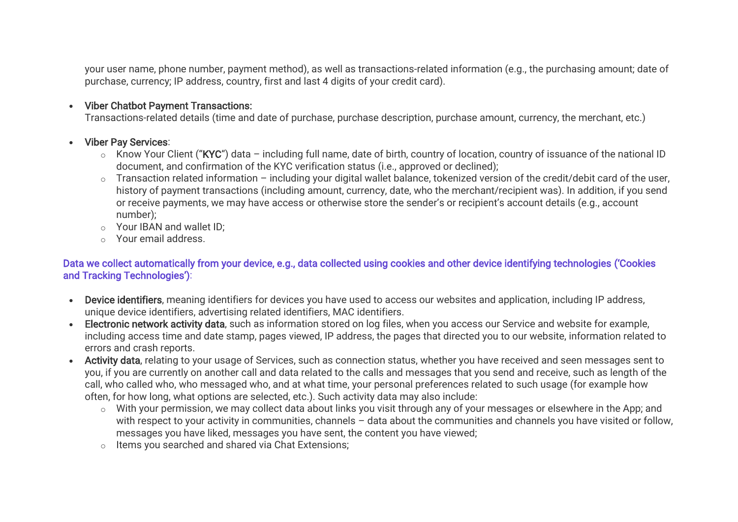your user name, phone number, payment method), as well as transactions-related information (e.g., the purchasing amount; date of purchase, currency; IP address, country, first and last 4 digits of your credit card).

## • Viber Chatbot Payment Transactions:

Transactions-related details (time and date of purchase, purchase description, purchase amount, currency, the merchant, etc.)

## • Viber Pay Services:

- $\circ$  Know Your Client ("KYC") data including full name, date of birth, country of location, country of issuance of the national ID document, and confirmation of the KYC verification status (i.e., approved or declined);
- o Transaction related information including your digital wallet balance, tokenized version of the credit/debit card of the user, history of payment transactions (including amount, currency, date, who the merchant/recipient was). In addition, if you send or receive payments, we may have access or otherwise store the sender's or recipient's account details (e.g., account number);
- o Your IBAN and wallet ID;
- o Your email address.

## Data we collect automatically from your device, e.g., data collected using cookies and other device identifying technologies ('Cookies and Tracking Technologies'):

- Device identifiers, meaning identifiers for devices you have used to access our websites and application, including IP address, unique device identifiers, advertising related identifiers, MAC identifiers.
- Electronic network activity data, such as information stored on log files, when you access our Service and website for example, including access time and date stamp, pages viewed, IP address, the pages that directed you to our website, information related to errors and crash reports.
- Activity data, relating to your usage of Services, such as connection status, whether you have received and seen messages sent to you, if you are currently on another call and data related to the calls and messages that you send and receive, such as length of the call, who called who, who messaged who, and at what time, your personal preferences related to such usage (for example how often, for how long, what options are selected, etc.). Such activity data may also include:
	- o With your permission, we may collect data about links you visit through any of your messages or elsewhere in the App; and with respect to your activity in communities, channels – data about the communities and channels you have visited or follow, messages you have liked, messages you have sent, the content you have viewed;
	- o Items you searched and shared via Chat Extensions;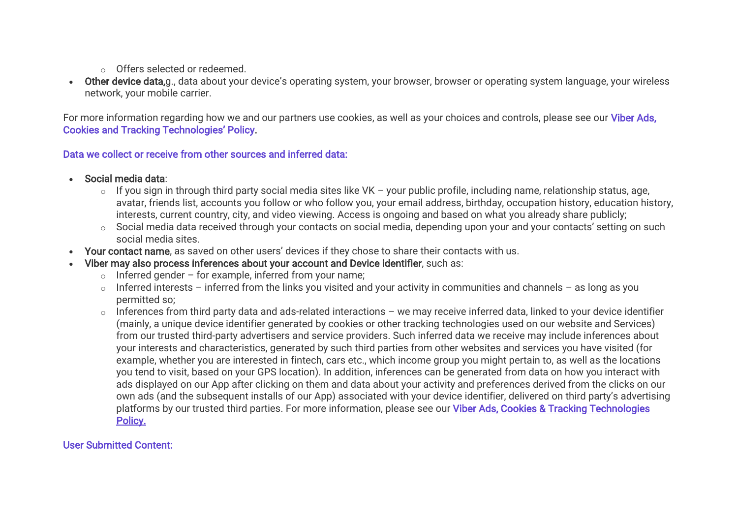- o Offers selected or redeemed.
- Other device data,g., data about your device's operating system, your browser, browser or operating system language, your wireless network, your mobile carrier.

For more information regarding how we and our partners use cookies, as well as your choices and controls, please see our Viber Ads, [Cookies and Tracki](https://www.viber.com/en/terms/cookies-and-tracking/)ng Technologies' Policy.

## Data we collect or receive from other sources and inferred data:

- Social media data:
	- $\circ$  If you sign in through third party social media sites like VK your public profile, including name, relationship status, age, avatar, friends list, accounts you follow or who follow you, your email address, birthday, occupation history, education history, interests, current country, city, and video viewing. Access is ongoing and based on what you already share publicly;
	- o Social media data received through your contacts on social media, depending upon your and your contacts' setting on such social media sites.
- Your contact name, as saved on other users' devices if they chose to share their contacts with us.
- Viber may also process inferences about your account and Device identifier, such as:
	- $\circ$  Inferred gender for example, inferred from your name:
	- $\circ$  Inferred interests inferred from the links you visited and your activity in communities and channels as long as you permitted so;
	- $\circ$  Inferences from third party data and ads-related interactions we may receive inferred data, linked to your device identifier (mainly, a unique device identifier generated by cookies or other tracking technologies used on our website and Services) from our trusted third-party advertisers and service providers. Such inferred data we receive may include inferences about your interests and characteristics, generated by such third parties from other websites and services you have visited (for example, whether you are interested in fintech, cars etc., which income group you might pertain to, as well as the locations you tend to visit, based on your GPS location). In addition, inferences can be generated from data on how you interact with ads displayed on our App after clicking on them and data about your activity and preferences derived from the clicks on our own ads (and the subsequent installs of our App) associated with your device identifier, delivered on third party's advertising platforms by our trusted third parties. For more information, please see our [Viber Ads, Cookies & Tracking Technologies](https://www.viber.com/en/terms/cookies-and-tracking/)  [Policy.](https://www.viber.com/en/terms/cookies-and-tracking/)

# User Submitted Content: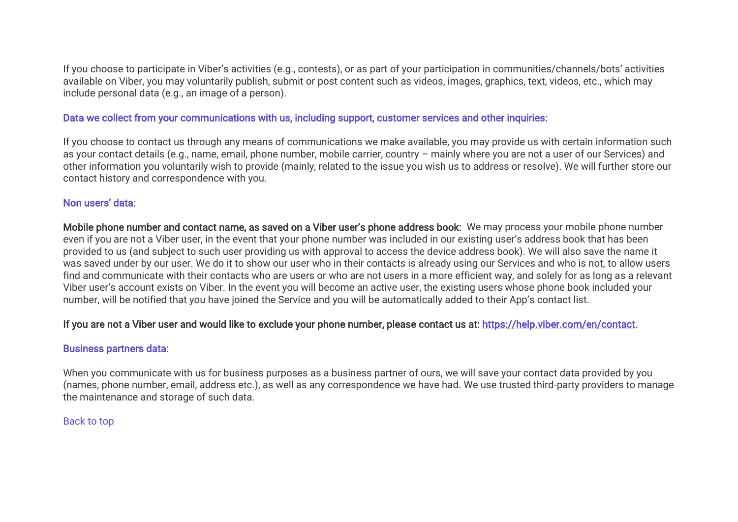If you choose to participate in Viber's activities (e.g., contests), or as part of your participation in communities/channels/bots' activities available on Viber, you may voluntarily publish, submit or post content such as videos, images, graphics, text, videos, etc., which may include personal data (e.g., an image of a person).

## Data we collect from your communications with us, including support, customer services and other inquiries:

If you choose to contact us through any means of communications we make available, you may provide us with certain information such as your contact details (e.g., name, email, phone number, mobile carrier, country – mainly where you are not a user of our Services) and other information you voluntarily wish to provide (mainly, related to the issue you wish us to address or resolve). We will further store our contact history and correspondence with you.

## Non users' data:

Mobile phone number and contact name, as saved on a Viber user's phone address book: We may process your mobile phone number even if you are not a Viber user, in the event that your phone number was included in our existing user's address book that has been provided to us (and subject to such user providing us with approval to access the device address book). We will also save the name it was saved under by our user. We do it to show our user who in their contacts is already using our Services and who is not, to allow users find and communicate with their contacts who are users or who are not users in a more efficient way, and solely for as long as a relevant Viber user's account exists on Viber. In the event you will become an active user, the existing users whose phone book included your number, will be notified that you have joined the Service and you will be automatically added to their App's contact list.

## If you are not a Viber user and would like to exclude your phone number, please contact us at: [https://help.viber.com/en/contact.](https://help.viber.com/en/contact)

## Business partners data:

When you communicate with us for business purposes as a business partner of ours, we will save your contact data provided by you (names, phone number, email, address etc.), as well as any correspondence we have had. We use trusted third-party providers to manage the maintenance and storage of such data.

## [Back to top](https://www.staging.viber.com/en/?post_type=terms&p=43645&preview=true#top)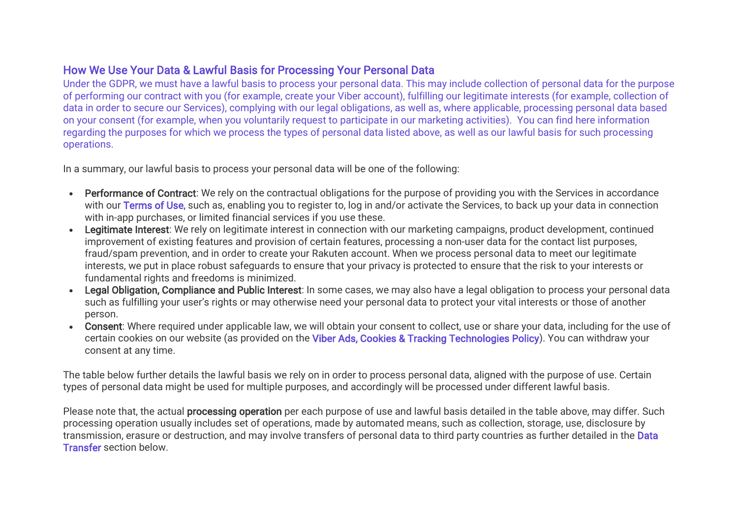# How We Use Your Data & Lawful Basis for Processing Your Personal Data

Under the GDPR, we must have a lawful basis to process your personal data. This may include collection of personal data for the purpose of performing our contract with you (for example, create your Viber account), fulfilling our legitimate interests (for example, collection of data in order to secure our Services), complying with our legal obligations, as well as, where applicable, processing personal data based on your consent (for example, when you voluntarily request to participate in our marketing activities). You can find here information regarding the purposes for which we process the types of personal data listed above, as well as our lawful basis for such processing operations.

In a summary, our lawful basis to process your personal data will be one of the following:

- Performance of Contract: We rely on the contractual obligations for the purpose of providing you with the Services in accordance with our [Terms of Use,](https://www.viber.com/en/terms/viber-terms-use/) such as, enabling you to register to, log in and/or activate the Services, to back up your data in connection with in-app purchases, or limited financial services if you use these.
- Legitimate Interest: We rely on legitimate interest in connection with our marketing campaigns, product development, continued improvement of existing features and provision of certain features, processing a non-user data for the contact list purposes, fraud/spam prevention, and in order to create your Rakuten account. When we process personal data to meet our legitimate interests, we put in place robust safeguards to ensure that your privacy is protected to ensure that the risk to your interests or fundamental rights and freedoms is minimized.
- Legal Obligation, Compliance and Public Interest: In some cases, we may also have a legal obligation to process your personal data such as fulfilling your user's rights or may otherwise need your personal data to protect your vital interests or those of another person.
- Consent: Where required under applicable law, we will obtain your consent to collect, use or share your data, including for the use of certain cookies on our website (as provided on the [Viber Ads, Cookies & Tracking Technologies Policy\)](https://www.viber.com/en/terms/cookies-and-tracking/). You can withdraw your consent at any time.

The table below further details the lawful basis we rely on in order to process personal data, aligned with the purpose of use. Certain types of personal data might be used for multiple purposes, and accordingly will be processed under different lawful basis.

Please note that, the actual **processing operation** per each purpose of use and lawful basis detailed in the table above, may differ. Such processing operation usually includes set of operations, made by automated means, such as collection, storage, use, disclosure by transmission, erasure or destruction, and may involve transfers of personal data to third party countries as further detailed in the [Data](https://www.staging.viber.com/en/?post_type=terms&p=43645&preview=true#data-transfer)  [Transfer](https://www.staging.viber.com/en/?post_type=terms&p=43645&preview=true#data-transfer) section below.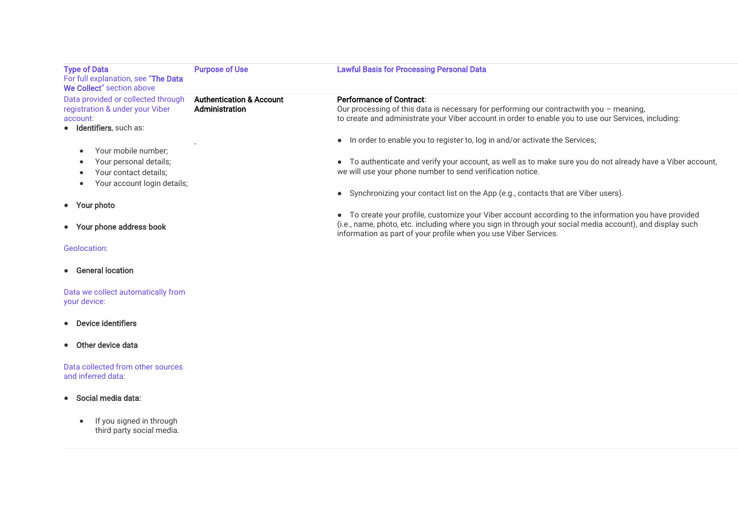| <b>Type of Data</b><br>For full explanation, see "The Data<br>We Collect" section above                            | <b>Purpose of Use</b>                                 | <b>Lawful Basis for Processing Personal Data</b>                                                                                                                                                                                                                                       |
|--------------------------------------------------------------------------------------------------------------------|-------------------------------------------------------|----------------------------------------------------------------------------------------------------------------------------------------------------------------------------------------------------------------------------------------------------------------------------------------|
| Data provided or collected through<br>registration & under your Viber<br>account:<br>· Identifiers, such as:       | <b>Authentication &amp; Account</b><br>Administration | Performance of Contract:<br>Our processing of this data is necessary for performing our contractwith you - meaning,<br>to create and administrate your Viber account in order to enable you to use our Services, including:                                                            |
| Your mobile number;<br>Your personal details;<br>Your contact details;<br>Your account login details;<br>$\bullet$ |                                                       | • In order to enable you to register to, log in and/or activate the Services;<br>• To authenticate and verify your account, as well as to make sure you do not already have a Viber account,<br>we will use your phone number to send verification notice.                             |
| • Your photo                                                                                                       |                                                       | • Synchronizing your contact list on the App (e.g., contacts that are Viber users).                                                                                                                                                                                                    |
| • Your phone address book                                                                                          |                                                       | • To create your profile, customize your Viber account according to the information you have provided<br>(i.e., name, photo, etc. including where you sign in through your social media account), and display such<br>information as part of your profile when you use Viber Services. |
| Geolocation:                                                                                                       |                                                       |                                                                                                                                                                                                                                                                                        |
| • General location                                                                                                 |                                                       |                                                                                                                                                                                                                                                                                        |
| Data we collect automatically from<br>your device:                                                                 |                                                       |                                                                                                                                                                                                                                                                                        |
| Device identifiers<br>$\bullet$                                                                                    |                                                       |                                                                                                                                                                                                                                                                                        |
| Other device data<br>$\bullet$                                                                                     |                                                       |                                                                                                                                                                                                                                                                                        |
| Data collected from other sources<br>and inferred data:                                                            |                                                       |                                                                                                                                                                                                                                                                                        |
| Social media data:<br>$\bullet$                                                                                    |                                                       |                                                                                                                                                                                                                                                                                        |
| If you signed in through<br>third party social media.                                                              |                                                       |                                                                                                                                                                                                                                                                                        |
|                                                                                                                    |                                                       |                                                                                                                                                                                                                                                                                        |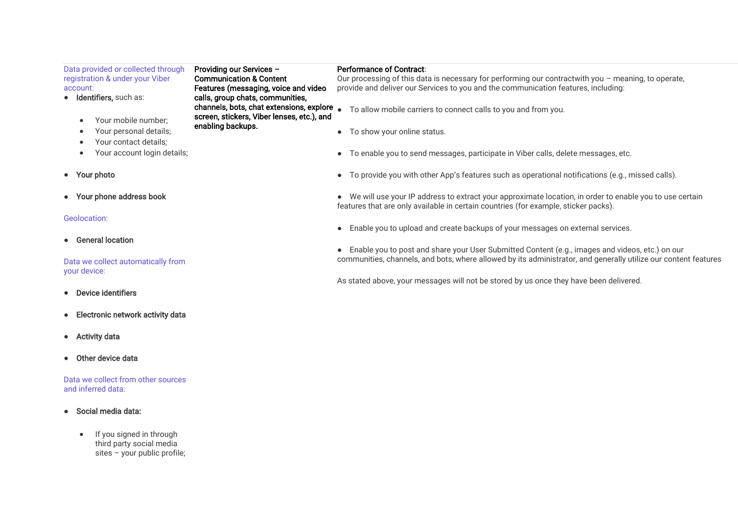| Data provided or collected through<br>Providing our Services -<br>registration & under your Viber<br><b>Communication &amp; Content</b><br>Features (messaging, voice and video<br>account:<br>• Identifiers, such as:<br>calls, group chats, communities, |                                                                                                             | <b>Performance of Contract:</b><br>Our processing of this data is necessary for performing our contractwith you - meaning, to operate,<br>provide and deliver our Services to you and the communication features, including: |
|------------------------------------------------------------------------------------------------------------------------------------------------------------------------------------------------------------------------------------------------------------|-------------------------------------------------------------------------------------------------------------|------------------------------------------------------------------------------------------------------------------------------------------------------------------------------------------------------------------------------|
| Your mobile number;                                                                                                                                                                                                                                        | channels, bots, chat extensions, explore<br>screen, stickers, Viber lenses, etc.), and<br>enabling backups. | To allow mobile carriers to connect calls to you and from you.                                                                                                                                                               |
| Your personal details;                                                                                                                                                                                                                                     |                                                                                                             | To show your online status.                                                                                                                                                                                                  |
| Your contact details:<br>٠<br>Your account login details;                                                                                                                                                                                                  |                                                                                                             | To enable you to send messages, participate in Viber calls, delete messages, etc.                                                                                                                                            |
| • Your photo                                                                                                                                                                                                                                               |                                                                                                             | • To provide you with other App's features such as operational notifications (e.g., missed calls).                                                                                                                           |
| • Your phone address book                                                                                                                                                                                                                                  |                                                                                                             | • We will use your IP address to extract your approximate location, in order to enable you to use certain<br>features that are only available in certain countries (for example, sticker packs).                             |
| Geolocation:                                                                                                                                                                                                                                               |                                                                                                             |                                                                                                                                                                                                                              |
|                                                                                                                                                                                                                                                            |                                                                                                             | • Enable you to upload and create backups of your messages on external services.                                                                                                                                             |
| <b>General location</b><br>$\bullet$                                                                                                                                                                                                                       |                                                                                                             |                                                                                                                                                                                                                              |
|                                                                                                                                                                                                                                                            |                                                                                                             | • Enable you to post and share your User Submitted Content (e.g., images and videos, etc.) on our                                                                                                                            |
| Data we collect automatically from<br>your device:                                                                                                                                                                                                         |                                                                                                             | communities, channels, and bots, where allowed by its administrator, and generally utilize our content features                                                                                                              |
|                                                                                                                                                                                                                                                            |                                                                                                             | As stated above, your messages will not be stored by us once they have been delivered.                                                                                                                                       |
| Device identifiers                                                                                                                                                                                                                                         |                                                                                                             |                                                                                                                                                                                                                              |
| Electronic network activity data<br>$\bullet$                                                                                                                                                                                                              |                                                                                                             |                                                                                                                                                                                                                              |

- Activity data
- Other device data

Data we collect from other sources and inferred data:

- Social media data:
	- If you signed in through third party social media sites – your public profile;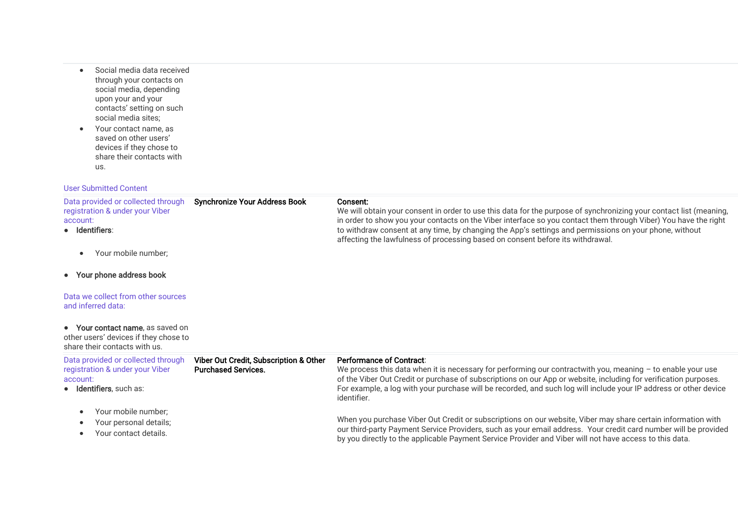- Social media data received through your contacts on social media, depending upon your and your contacts' setting on such social media sites;
- Your contact name, as saved on other users' devices if they chose to share their contacts with us.

#### User Submitted Content

| Data provided or collected through<br>registration & under your Viber<br>account:<br>• Identifiers:          | <b>Synchronize Your Address Book</b>                                 | Consent:<br>We will obtain your consent in order to use this data for the purpose of synchronizing your contact list (meaning,<br>in order to show you your contacts on the Viber interface so you contact them through Viber) You have the right<br>to withdraw consent at any time, by changing the App's settings and permissions on your phone, without<br>affecting the lawfulness of processing based on consent before its withdrawal. |
|--------------------------------------------------------------------------------------------------------------|----------------------------------------------------------------------|-----------------------------------------------------------------------------------------------------------------------------------------------------------------------------------------------------------------------------------------------------------------------------------------------------------------------------------------------------------------------------------------------------------------------------------------------|
| Your mobile number;                                                                                          |                                                                      |                                                                                                                                                                                                                                                                                                                                                                                                                                               |
| • Your phone address book                                                                                    |                                                                      |                                                                                                                                                                                                                                                                                                                                                                                                                                               |
| Data we collect from other sources<br>and inferred data:                                                     |                                                                      |                                                                                                                                                                                                                                                                                                                                                                                                                                               |
| • Your contact name, as saved on<br>other users' devices if they chose to<br>share their contacts with us.   |                                                                      |                                                                                                                                                                                                                                                                                                                                                                                                                                               |
| Data provided or collected through<br>registration & under your Viber<br>account:<br>· Identifiers, such as: | Viber Out Credit, Subscription & Other<br><b>Purchased Services.</b> | <b>Performance of Contract:</b><br>We process this data when it is necessary for performing our contractwith you, meaning $-$ to enable your use<br>of the Viber Out Credit or purchase of subscriptions on our App or website, including for verification purposes.<br>For example, a log with your purchase will be recorded, and such log will include your IP address or other device<br>identifier.                                      |
| Your mobile number;<br>Your personal details;<br>Your contact details.                                       |                                                                      | When you purchase Viber Out Credit or subscriptions on our website, Viber may share certain information with<br>our third-party Payment Service Providers, such as your email address. Your credit card number will be provided<br>the second that the contract of the second contract of the second contract of the second contract of the second                                                                                            |

by you directly to the applicable Payment Service Provider and Viber will not have access to this data.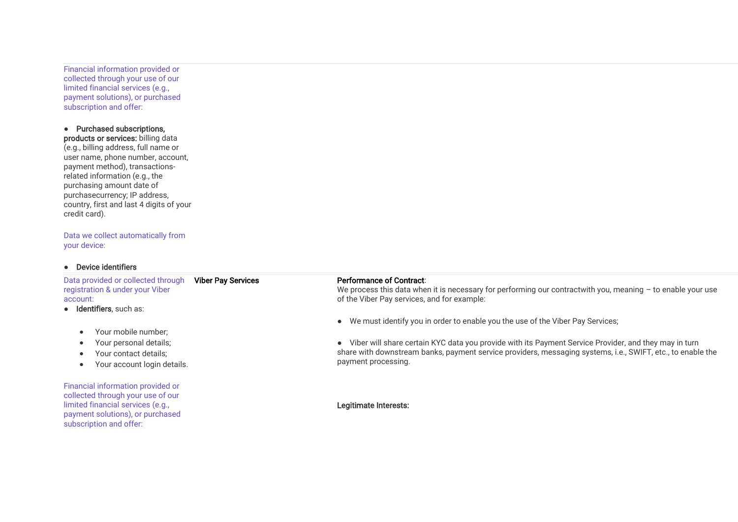Financial information provided or collected through your use of our limited financial services (e.g., payment solutions), or purchased subscription and offer:

## ● Purchased subscriptions,

products or services: billing data (e.g., billing address, full name or user name, phone number, account, payment method), transactionsrelated information (e.g., the purchasing amount date of purchasecurrency; IP address, country, first and last 4 digits of your credit card).

Data we collect automatically from your device:

#### ● Device identifiers

Data provided or collected through registration & under your Viber account: Viber Pay Services

- Identifiers, such as:
	- Your mobile number;
	- Your personal details;
	- Your contact details;
	- Your account login details.

Financial information provided or collected through your use of our limited financial services (e.g., payment solutions), or purchased subscription and offer:

#### Performance of Contract:

We process this data when it is necessary for performing our contractwith you, meaning - to enable your use of the Viber Pay services, and for example:

● We must identify you in order to enable you the use of the Viber Pay Services;

● Viber will share certain KYC data you provide with its Payment Service Provider, and they may in turn share with downstream banks, payment service providers, messaging systems, i.e., SWIFT, etc., to enable the payment processing.

#### Legitimate Interests: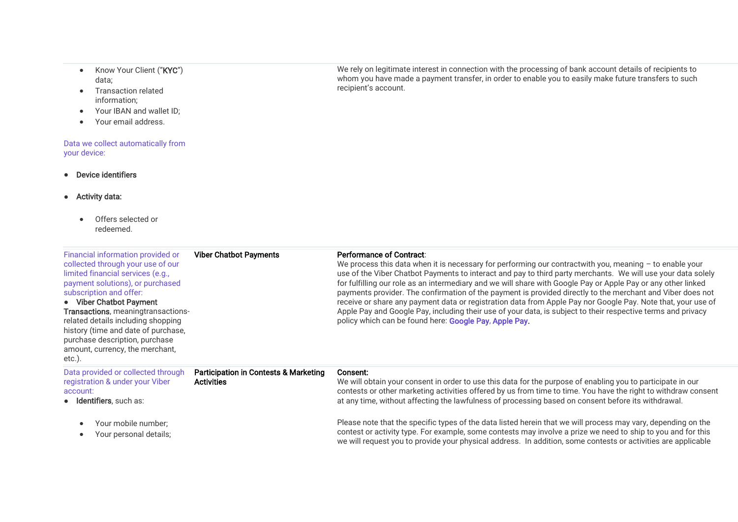- Know Your Client ("KYC") data;
- Transaction related information;
- Your IBAN and wallet ID:
- Your email address.

#### Data we collect automatically from your device:

● Device identifiers

subscription and offer: ● Viber Chatbot Payment Transactions, meaningtransactionsrelated details including shopping history (time and date of purchase, purchase description, purchase amount, currency, the merchant,

 $eta \land$ 

- Activity data:
	- Offers selected or redeemed.

Financial information provided or collected through your use of our limited financial services (e.g., payment solutions), or purchased

We rely on legitimate interest in connection with the processing of bank account details of recipients to whom you have made a payment transfer, in order to enable you to easily make future transfers to such recipient's account.

#### Viber Chatbot Payments **Performance of Contract:**

We process this data when it is necessary for performing our contractwith you, meaning – to enable your use of the Viber Chatbot Payments to interact and pay to third party merchants. We will use your data solely for fulfilling our role as an intermediary and we will share with Google Pay or Apple Pay or any other linked payments provider. The confirmation of the payment is provided directly to the merchant and Viber does not receive or share any payment data or registration data from Apple Pay nor Google Pay. Note that, your use of Apple Pay and Google Pay, including their use of your data, is subject to their respective terms and privacy policy which can be found here: [Google Pay,](https://payments.google.com/payments/apis-secure/u/0/get_legal_document?ldo=0&ldt=privacynotice&ldr=ZZ&ldl=en) [Apple Pay.](https://support.apple.com/en-us/HT203027)

| $\sim$                                                                                                             |                                                                       |                                                                                                                                                                                                                                                                                                                                                  |
|--------------------------------------------------------------------------------------------------------------------|-----------------------------------------------------------------------|--------------------------------------------------------------------------------------------------------------------------------------------------------------------------------------------------------------------------------------------------------------------------------------------------------------------------------------------------|
| Data provided or collected through<br>registration & under your Viber<br>account:<br><b>Identifiers</b> , such as: | <b>Participation in Contests &amp; Marketing</b><br><b>Activities</b> | Consent:<br>We will obtain your consent in order to use this data for the purpose of enabling you to participate in our<br>contests or other marketing activities offered by us from time to time. You have the right to withdraw consent<br>at any time, without affecting the lawfulness of processing based on consent before its withdrawal. |
| Your mobile number;<br>Your personal details;                                                                      |                                                                       | Please note that the specific types of the data listed herein that we will process may vary, depending on the<br>contest or activity type. For example, some contests may involve a prize we need to ship to you and for this<br>we will request you to provide your physical address. In addition, some contests or activities are applicable   |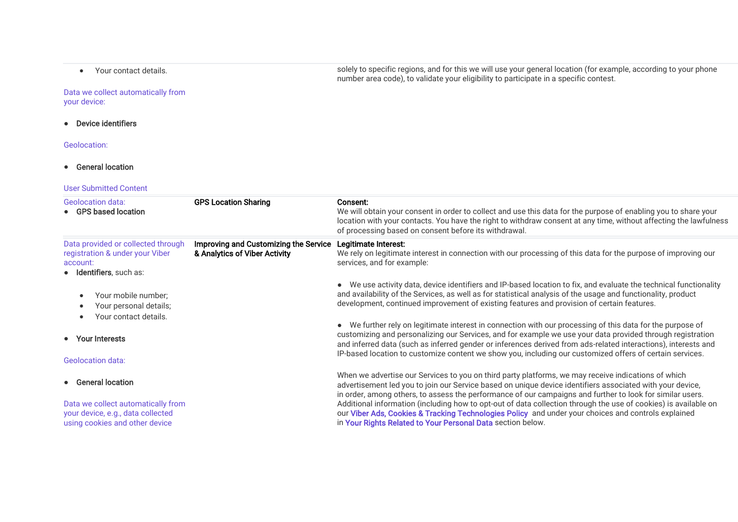• Your contact details.

Data we collect automatically from your device:

● Device identifiers

Geolocation:

- General location
- User Submitted Content

| <b>Geolocation data:</b><br>• GPS based location                                                             | <b>GPS Location Sharing</b>                                            | Consent:<br>We will obtain your consent in order to collect and use this data for the purpose of enabling you to share your<br>location with your contacts. You have the right to withdraw consent at any time, without affecting the lawfulness<br>of processing based on consent before its withdrawal.                                                                                                                                              |
|--------------------------------------------------------------------------------------------------------------|------------------------------------------------------------------------|--------------------------------------------------------------------------------------------------------------------------------------------------------------------------------------------------------------------------------------------------------------------------------------------------------------------------------------------------------------------------------------------------------------------------------------------------------|
| Data provided or collected through<br>registration & under your Viber<br>account:<br>• Identifiers, such as: | Improving and Customizing the Service<br>& Analytics of Viber Activity | Legitimate Interest:<br>We rely on legitimate interest in connection with our processing of this data for the purpose of improving our<br>services, and for example:                                                                                                                                                                                                                                                                                   |
| Your mobile number;<br>Your personal details;<br>Your contact details.                                       |                                                                        | • We use activity data, device identifiers and IP-based location to fix, and evaluate the technical functionality<br>and availability of the Services, as well as for statistical analysis of the usage and functionality, product<br>development, continued improvement of existing features and provision of certain features.                                                                                                                       |
| • Your Interests<br><b>Geolocation data:</b>                                                                 |                                                                        | • We further rely on legitimate interest in connection with our processing of this data for the purpose of<br>customizing and personalizing our Services, and for example we use your data provided through registration<br>and inferred data (such as inferred gender or inferences derived from ads-related interactions), interests and<br>IP-based location to customize content we show you, including our customized offers of certain services. |
| • General location                                                                                           |                                                                        | When we advertise our Services to you on third party platforms, we may receive indications of which<br>advertisement led you to join our Service based on unique device identifiers associated with your device,<br>in order, among others, to assess the performance of our campaigns and further to look for similar users.                                                                                                                          |
| Data we collect automatically from<br>your device, e.g., data collected<br>using cookies and other device    |                                                                        | Additional information (including how to opt-out of data collection through the use of cookies) is available on<br>our Viber Ads, Cookies & Tracking Technologies Policy and under your choices and controls explained<br>in Your Rights Related to Your Personal Data section below.                                                                                                                                                                  |

solely to specific regions, and for this we will use your general location (for example, according to your phone number area code), to validate your eligibility to participate in a specific contest.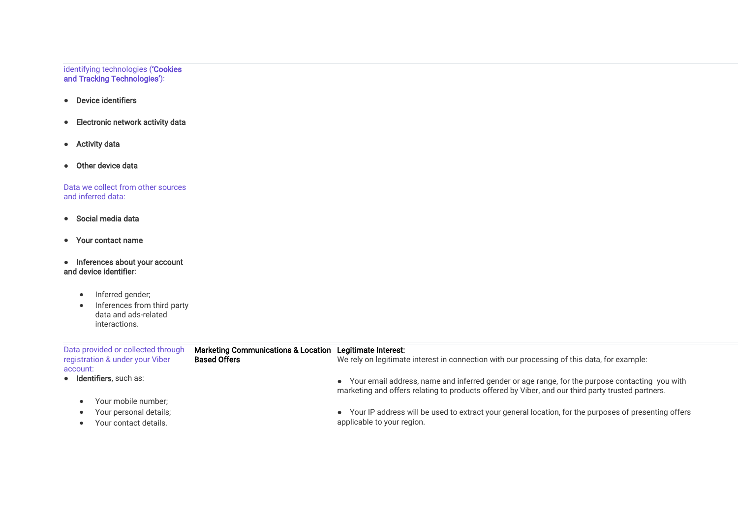#### identifying technologies ('Cookies and Tracking Technologies'):

- Device identifiers
- Electronic network activity data
- Activity data
- Other device data

Data we collect from other sources and inferred data:

- Social media data
- Your contact name
- Inferences about your account and device identifier:
	- Inferred gender;
	- Inferences from third party data and ads-related interactions.

| Data provided or collected through<br>registration & under your Viber | <b>Marketing Communications &amp; Location</b><br><b>Based Offers</b> | Legitimate Interest:<br>We rely on legitimate interest in connection with our processing of this data, for example:                                                                                   |
|-----------------------------------------------------------------------|-----------------------------------------------------------------------|-------------------------------------------------------------------------------------------------------------------------------------------------------------------------------------------------------|
| account:                                                              |                                                                       |                                                                                                                                                                                                       |
| • Identifiers, such as:                                               |                                                                       | • Your email address, name and inferred gender or age range, for the purpose contacting you with<br>marketing and offers relating to products offered by Viber, and our third party trusted partners. |
| Your mobile number;                                                   |                                                                       |                                                                                                                                                                                                       |
| Your personal details;                                                |                                                                       | • Your IP address will be used to extract your general location, for the purposes of presenting offers                                                                                                |
| Your contact details.                                                 |                                                                       | applicable to your region.                                                                                                                                                                            |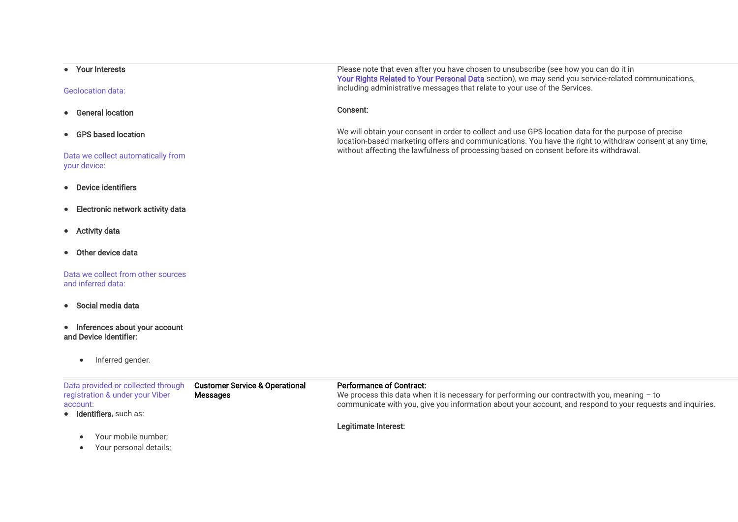#### ● Your Interests

#### Geolocation data:

- General location
- GPS based location

#### Data we collect automatically from your device:

- Device identifiers
- Electronic network activity data
- Activity data
- Other device data

#### Data we collect from other sources and inferred data:

- Social media data
- Inferences about your account and Device Identifier:
	- Inferred gender.

#### Data provided or collected through registration & under your Viber account: ● Identifiers, such as: • Your mobile number; Customer Service & Operational **Messages** Performance of Contract: We process this data when it is necessary for performing our contractwith you, meaning - to communicate with you, give you information about your account, and respond to your requests and inquiries. Legitimate Interest:

• Your personal details;

Please note that even after you have chosen to unsubscribe (see how you can do it in [Your Rights Related to Your Personal Data](https://www.staging.viber.com/en/?post_type=terms&p=43645&preview=true#your-rights) section), we may send you service-related communications, including administrative messages that relate to your use of the Services.

#### Consent:

We will obtain your consent in order to collect and use GPS location data for the purpose of precise location-based marketing offers and communications. You have the right to withdraw consent at any time, without affecting the lawfulness of processing based on consent before its withdrawal.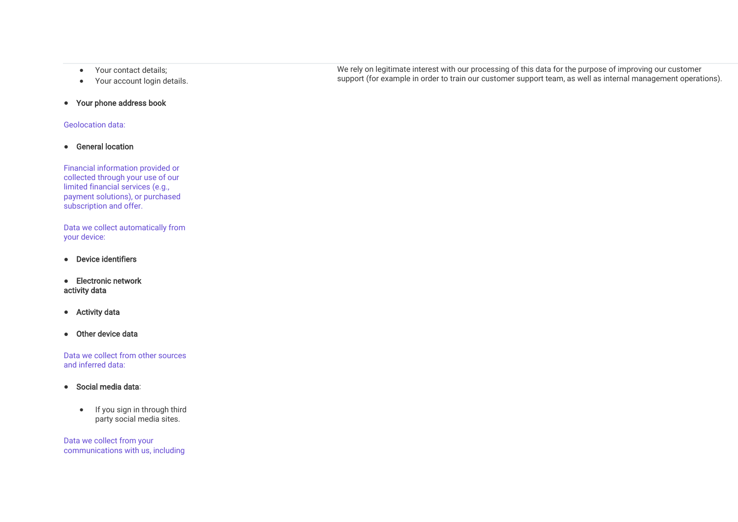- Your contact details;
- Your account login details.
- Your phone address book

#### Geolocation data:

● General location

Financial information provided or collected through your use of our limited financial services (e.g., payment solutions), or purchased subscription and offer.

Data we collect automatically from your device:

- Device identifiers
- Electronic network activity data
- Activity data
- Other device data

Data we collect from other sources and inferred data:

- Social media data:
	- If you sign in through third party social media sites.

Data we collect from your communications with us, including We rely on legitimate interest with our processing of this data for the purpose of improving our customer support (for example in order to train our customer support team, as well as internal management operations).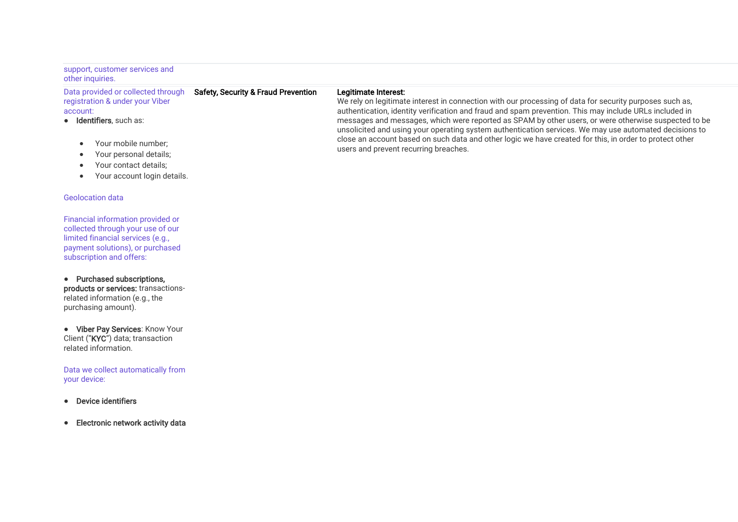#### support, customer services and other inquiries.

Data provided or collected through registration & under your Viber account:

- Identifiers, such as:
	- Your mobile number;
	- Your personal details;
	- Your contact details:
	- Your account login details.

#### Geolocation data

Financial information provided or collected through your use of our limited financial services (e.g., payment solutions), or purchased subscription and offers:

● Purchased subscriptions, products or services: transactionsrelated information (e.g., the purchasing amount).

● Viber Pay Services: Know Your Client ("KYC") data; transaction related information.

Data we collect automatically from your device:

- Device identifiers
- Electronic network activity data

#### Legitimate Interest:

Safety, Security & Fraud Prevention

We rely on legitimate interest in connection with our processing of data for security purposes such as, authentication, identity verification and fraud and spam prevention. This may include URLs included in messages and messages, which were reported as SPAM by other users, or were otherwise suspected to be unsolicited and using your operating system authentication services. We may use automated decisions to close an account based on such data and other logic we have created for this, in order to protect other users and prevent recurring breaches.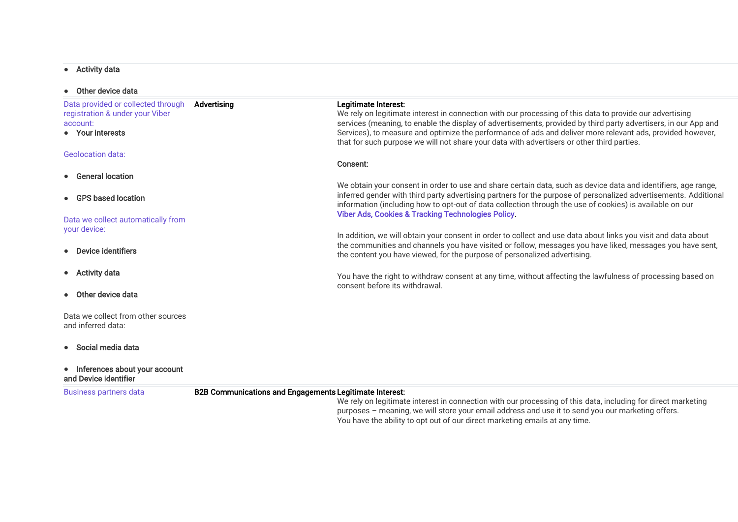## • Activity data

| • Other device data                                                                                   |                                                                |                                                                                                                                                                                                                                                                                                                                                                                                                                                                 |
|-------------------------------------------------------------------------------------------------------|----------------------------------------------------------------|-----------------------------------------------------------------------------------------------------------------------------------------------------------------------------------------------------------------------------------------------------------------------------------------------------------------------------------------------------------------------------------------------------------------------------------------------------------------|
| Data provided or collected through<br>registration & under your Viber<br>account:<br>• Your interests | Advertising                                                    | Legitimate Interest:<br>We rely on legitimate interest in connection with our processing of this data to provide our advertising<br>services (meaning, to enable the display of advertisements, provided by third party advertisers, in our App and<br>Services), to measure and optimize the performance of ads and deliver more relevant ads, provided however,<br>that for such purpose we will not share your data with advertisers or other third parties. |
| <b>Geolocation data:</b>                                                                              |                                                                | Consent:                                                                                                                                                                                                                                                                                                                                                                                                                                                        |
| • General location                                                                                    |                                                                |                                                                                                                                                                                                                                                                                                                                                                                                                                                                 |
| • GPS based location                                                                                  |                                                                | We obtain your consent in order to use and share certain data, such as device data and identifiers, age range,<br>inferred gender with third party advertising partners for the purpose of personalized advertisements. Additional<br>information (including how to opt-out of data collection through the use of cookies) is available on our                                                                                                                  |
| Data we collect automatically from<br>your device:                                                    |                                                                | <b>Viber Ads, Cookies &amp; Tracking Technologies Policy.</b><br>In addition, we will obtain your consent in order to collect and use data about links you visit and data about                                                                                                                                                                                                                                                                                 |
| Device identifiers                                                                                    |                                                                | the communities and channels you have visited or follow, messages you have liked, messages you have sent,<br>the content you have viewed, for the purpose of personalized advertising.                                                                                                                                                                                                                                                                          |
| • Activity data                                                                                       |                                                                | You have the right to withdraw consent at any time, without affecting the lawfulness of processing based on                                                                                                                                                                                                                                                                                                                                                     |
| • Other device data                                                                                   |                                                                | consent before its withdrawal.                                                                                                                                                                                                                                                                                                                                                                                                                                  |
| Data we collect from other sources<br>and inferred data:                                              |                                                                |                                                                                                                                                                                                                                                                                                                                                                                                                                                                 |
| • Social media data                                                                                   |                                                                |                                                                                                                                                                                                                                                                                                                                                                                                                                                                 |
| • Inferences about your account<br>and Device identifier                                              |                                                                |                                                                                                                                                                                                                                                                                                                                                                                                                                                                 |
| <b>Business partners data</b>                                                                         | <b>B2B Communications and Engagements Legitimate Interest:</b> | We rely on legitimate interest in connection with our processing of this data, including for direct marketing<br>purposes – meaning, we will store your email address and use it to send you our marketing offers.                                                                                                                                                                                                                                              |

You have the ability to opt out of our direct marketing emails at any time.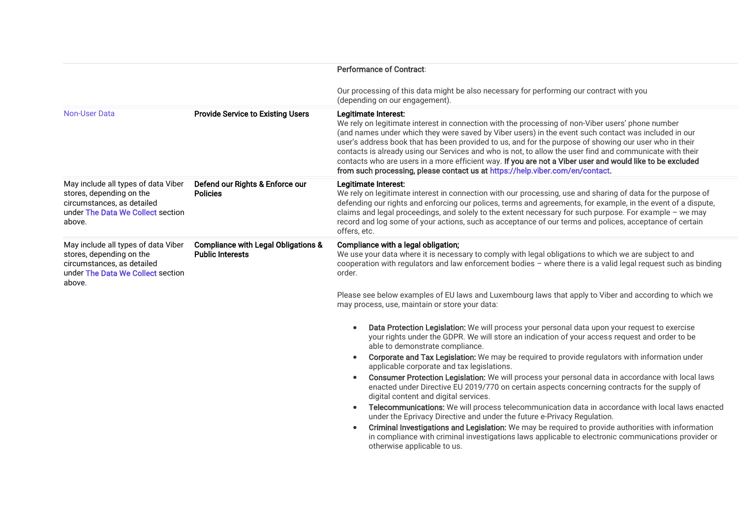|                                                                                                                                              |                                                                           | <b>Performance of Contract:</b>                                                                                                                                                                                                                                                                                                                                                                                                                                                                                                                                                                                                                                                                                                                                                                                                                                                                                                                                                                                                                                                         |
|----------------------------------------------------------------------------------------------------------------------------------------------|---------------------------------------------------------------------------|-----------------------------------------------------------------------------------------------------------------------------------------------------------------------------------------------------------------------------------------------------------------------------------------------------------------------------------------------------------------------------------------------------------------------------------------------------------------------------------------------------------------------------------------------------------------------------------------------------------------------------------------------------------------------------------------------------------------------------------------------------------------------------------------------------------------------------------------------------------------------------------------------------------------------------------------------------------------------------------------------------------------------------------------------------------------------------------------|
|                                                                                                                                              |                                                                           | Our processing of this data might be also necessary for performing our contract with you<br>(depending on our engagement).                                                                                                                                                                                                                                                                                                                                                                                                                                                                                                                                                                                                                                                                                                                                                                                                                                                                                                                                                              |
| Non-User Data                                                                                                                                | <b>Provide Service to Existing Users</b>                                  | Legitimate Interest:<br>We rely on legitimate interest in connection with the processing of non-Viber users' phone number<br>(and names under which they were saved by Viber users) in the event such contact was included in our<br>user's address book that has been provided to us, and for the purpose of showing our user who in their<br>contacts is already using our Services and who is not, to allow the user find and communicate with their<br>contacts who are users in a more efficient way. If you are not a Viber user and would like to be excluded<br>from such processing, please contact us at https://help.viber.com/en/contact.                                                                                                                                                                                                                                                                                                                                                                                                                                   |
| May include all types of data Viber<br>stores, depending on the<br>circumstances, as detailed<br>under The Data We Collect section<br>above. | Defend our Rights & Enforce our<br><b>Policies</b>                        | Legitimate Interest:<br>We rely on legitimate interest in connection with our processing, use and sharing of data for the purpose of<br>defending our rights and enforcing our polices, terms and agreements, for example, in the event of a dispute,<br>claims and legal proceedings, and solely to the extent necessary for such purpose. For example - we may<br>record and log some of your actions, such as acceptance of our terms and polices, acceptance of certain<br>offers, etc.                                                                                                                                                                                                                                                                                                                                                                                                                                                                                                                                                                                             |
| May include all types of data Viber<br>stores, depending on the<br>circumstances, as detailed<br>under The Data We Collect section<br>above. | <b>Compliance with Legal Obligations &amp;</b><br><b>Public Interests</b> | Compliance with a legal obligation;<br>We use your data where it is necessary to comply with legal obligations to which we are subject to and<br>cooperation with regulators and law enforcement bodies - where there is a valid legal request such as binding<br>order.                                                                                                                                                                                                                                                                                                                                                                                                                                                                                                                                                                                                                                                                                                                                                                                                                |
|                                                                                                                                              |                                                                           | Please see below examples of EU laws and Luxembourg laws that apply to Viber and according to which we<br>may process, use, maintain or store your data:                                                                                                                                                                                                                                                                                                                                                                                                                                                                                                                                                                                                                                                                                                                                                                                                                                                                                                                                |
|                                                                                                                                              |                                                                           | Data Protection Legislation: We will process your personal data upon your request to exercise<br>$\bullet$<br>your rights under the GDPR. We will store an indication of your access request and order to be<br>able to demonstrate compliance.<br>Corporate and Tax Legislation: We may be required to provide regulators with information under<br>applicable corporate and tax legislations.<br>Consumer Protection Legislation: We will process your personal data in accordance with local laws<br>enacted under Directive EU 2019/770 on certain aspects concerning contracts for the supply of<br>digital content and digital services.<br>Telecommunications: We will process telecommunication data in accordance with local laws enacted<br>under the Eprivacy Directive and under the future e-Privacy Regulation.<br>Criminal Investigations and Legislation: We may be required to provide authorities with information<br>$\bullet$<br>in compliance with criminal investigations laws applicable to electronic communications provider or<br>otherwise applicable to us. |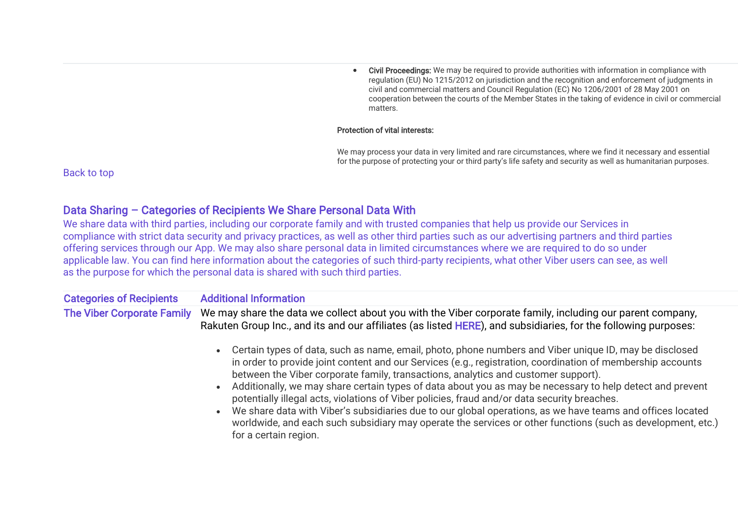• Civil Proceedings: We may be required to provide authorities with information in compliance with regulation (EU) No 1215/2012 on jurisdiction and the recognition and enforcement of judgments in civil and commercial matters and Council Regulation (EC) No 1206/2001 of 28 May 2001 on cooperation between the courts of the Member States in the taking of evidence in civil or commercial matters.

### Protection of vital interests:

We may process your data in very limited and rare circumstances, where we find it necessary and essential for the purpose of protecting your or third party's life safety and security as well as humanitarian purposes.

[Back to top](https://www.staging.viber.com/en/?post_type=terms&p=43645&preview=true#top)

# Data Sharing – Categories of Recipients We Share Personal Data With

We share data with third parties, including our corporate family and with trusted companies that help us provide our Services in compliance with strict data security and privacy practices, as well as other third parties such as our advertising partners and third parties offering services through our App. We may also share personal data in limited circumstances where we are required to do so under applicable law. You can find here information about the categories of such third-party recipients, what other Viber users can see, as well as the purpose for which the personal data is shared with such third parties.

| <b>Categories of Recipients</b>   | <b>Additional Information</b>                                                                                                                                                                                                                                                                                                                                                                                                                                                                                                                                                                                                                                                                                                                                                                              |
|-----------------------------------|------------------------------------------------------------------------------------------------------------------------------------------------------------------------------------------------------------------------------------------------------------------------------------------------------------------------------------------------------------------------------------------------------------------------------------------------------------------------------------------------------------------------------------------------------------------------------------------------------------------------------------------------------------------------------------------------------------------------------------------------------------------------------------------------------------|
| <b>The Viber Corporate Family</b> | We may share the data we collect about you with the Viber corporate family, including our parent company,<br>Rakuten Group Inc., and its and our affiliates (as listed HERE), and subsidiaries, for the following purposes:                                                                                                                                                                                                                                                                                                                                                                                                                                                                                                                                                                                |
|                                   | • Certain types of data, such as name, email, photo, phone numbers and Viber unique ID, may be disclosed<br>in order to provide joint content and our Services (e.g., registration, coordination of membership accounts<br>between the Viber corporate family, transactions, analytics and customer support).<br>Additionally, we may share certain types of data about you as may be necessary to help detect and prevent<br>$\bullet$<br>potentially illegal acts, violations of Viber policies, fraud and/or data security breaches.<br>We share data with Viber's subsidiaries due to our global operations, as we have teams and offices located<br>$\bullet$<br>worldwide, and each such subsidiary may operate the services or other functions (such as development, etc.)<br>for a certain region. |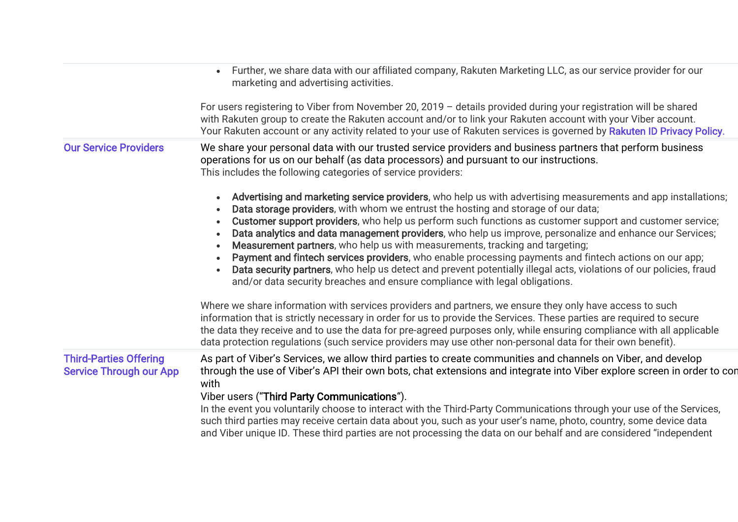|                                                                 | • Further, we share data with our affiliated company, Rakuten Marketing LLC, as our service provider for our<br>marketing and advertising activities.                                                                                                                                                                                                                                                                                                                                                                                                                                                                                                                                                                                                                                                                                  |
|-----------------------------------------------------------------|----------------------------------------------------------------------------------------------------------------------------------------------------------------------------------------------------------------------------------------------------------------------------------------------------------------------------------------------------------------------------------------------------------------------------------------------------------------------------------------------------------------------------------------------------------------------------------------------------------------------------------------------------------------------------------------------------------------------------------------------------------------------------------------------------------------------------------------|
|                                                                 | For users registering to Viber from November 20, 2019 - details provided during your registration will be shared<br>with Rakuten group to create the Rakuten account and/or to link your Rakuten account with your Viber account.<br>Your Rakuten account or any activity related to your use of Rakuten services is governed by Rakuten ID Privacy Policy.                                                                                                                                                                                                                                                                                                                                                                                                                                                                            |
| <b>Our Service Providers</b>                                    | We share your personal data with our trusted service providers and business partners that perform business<br>operations for us on our behalf (as data processors) and pursuant to our instructions.<br>This includes the following categories of service providers:                                                                                                                                                                                                                                                                                                                                                                                                                                                                                                                                                                   |
|                                                                 | Advertising and marketing service providers, who help us with advertising measurements and app installations;<br>Data storage providers, with whom we entrust the hosting and storage of our data;<br>Customer support providers, who help us perform such functions as customer support and customer service;<br>Data analytics and data management providers, who help us improve, personalize and enhance our Services;<br>Measurement partners, who help us with measurements, tracking and targeting;<br>$\bullet$<br>Payment and fintech services providers, who enable processing payments and fintech actions on our app;<br>Data security partners, who help us detect and prevent potentially illegal acts, violations of our policies, fraud<br>and/or data security breaches and ensure compliance with legal obligations. |
|                                                                 | Where we share information with services providers and partners, we ensure they only have access to such<br>information that is strictly necessary in order for us to provide the Services. These parties are required to secure<br>the data they receive and to use the data for pre-agreed purposes only, while ensuring compliance with all applicable<br>data protection regulations (such service providers may use other non-personal data for their own benefit).                                                                                                                                                                                                                                                                                                                                                               |
| <b>Third-Parties Offering</b><br><b>Service Through our App</b> | As part of Viber's Services, we allow third parties to create communities and channels on Viber, and develop<br>through the use of Viber's API their own bots, chat extensions and integrate into Viber explore screen in order to con<br>with                                                                                                                                                                                                                                                                                                                                                                                                                                                                                                                                                                                         |
|                                                                 | Viber users ("Third Party Communications").<br>In the event you voluntarily choose to interact with the Third-Party Communications through your use of the Services,<br>such third parties may receive certain data about you, such as your user's name, photo, country, some device data<br>and Viber unique ID. These third parties are not processing the data on our behalf and are considered "independent                                                                                                                                                                                                                                                                                                                                                                                                                        |
|                                                                 |                                                                                                                                                                                                                                                                                                                                                                                                                                                                                                                                                                                                                                                                                                                                                                                                                                        |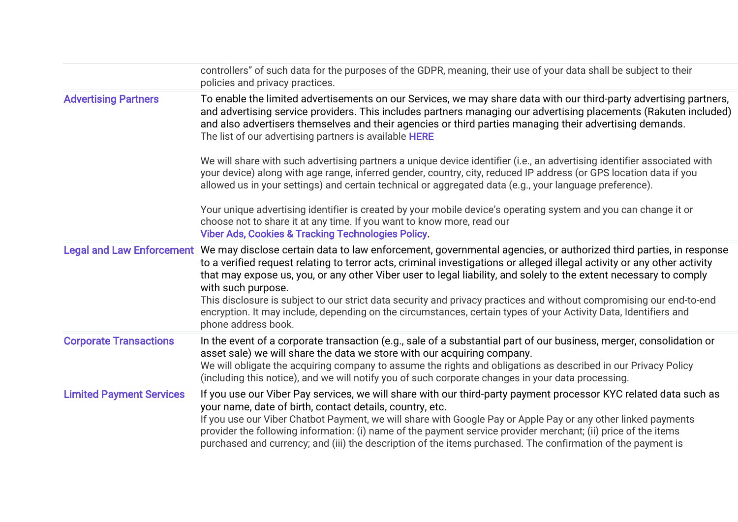|                                 | controllers" of such data for the purposes of the GDPR, meaning, their use of your data shall be subject to their<br>policies and privacy practices.                                                                                                                                                                                                                                                                                                                                                                                                                                                                                                                                 |
|---------------------------------|--------------------------------------------------------------------------------------------------------------------------------------------------------------------------------------------------------------------------------------------------------------------------------------------------------------------------------------------------------------------------------------------------------------------------------------------------------------------------------------------------------------------------------------------------------------------------------------------------------------------------------------------------------------------------------------|
| <b>Advertising Partners</b>     | To enable the limited advertisements on our Services, we may share data with our third-party advertising partners,<br>and advertising service providers. This includes partners managing our advertising placements (Rakuten included)<br>and also advertisers themselves and their agencies or third parties managing their advertising demands.<br>The list of our advertising partners is available HERE                                                                                                                                                                                                                                                                          |
|                                 | We will share with such advertising partners a unique device identifier (i.e., an advertising identifier associated with<br>your device) along with age range, inferred gender, country, city, reduced IP address (or GPS location data if you<br>allowed us in your settings) and certain technical or aggregated data (e.g., your language preference).                                                                                                                                                                                                                                                                                                                            |
|                                 | Your unique advertising identifier is created by your mobile device's operating system and you can change it or<br>choose not to share it at any time. If you want to know more, read our<br><b>Viber Ads, Cookies &amp; Tracking Technologies Policy.</b>                                                                                                                                                                                                                                                                                                                                                                                                                           |
|                                 | Legal and Law Enforcement We may disclose certain data to law enforcement, governmental agencies, or authorized third parties, in response<br>to a verified request relating to terror acts, criminal investigations or alleged illegal activity or any other activity<br>that may expose us, you, or any other Viber user to legal liability, and solely to the extent necessary to comply<br>with such purpose.<br>This disclosure is subject to our strict data security and privacy practices and without compromising our end-to-end<br>encryption. It may include, depending on the circumstances, certain types of your Activity Data, Identifiers and<br>phone address book. |
| <b>Corporate Transactions</b>   | In the event of a corporate transaction (e.g., sale of a substantial part of our business, merger, consolidation or<br>asset sale) we will share the data we store with our acquiring company.<br>We will obligate the acquiring company to assume the rights and obligations as described in our Privacy Policy<br>(including this notice), and we will notify you of such corporate changes in your data processing.                                                                                                                                                                                                                                                               |
| <b>Limited Payment Services</b> | If you use our Viber Pay services, we will share with our third-party payment processor KYC related data such as<br>your name, date of birth, contact details, country, etc.<br>If you use our Viber Chatbot Payment, we will share with Google Pay or Apple Pay or any other linked payments<br>provider the following information: (i) name of the payment service provider merchant; (ii) price of the items<br>purchased and currency; and (iii) the description of the items purchased. The confirmation of the payment is                                                                                                                                                      |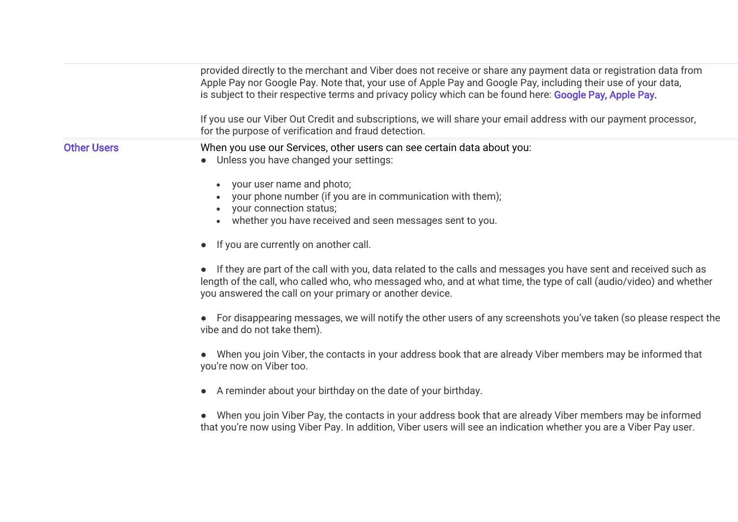|                    | provided directly to the merchant and Viber does not receive or share any payment data or registration data from<br>Apple Pay nor Google Pay. Note that, your use of Apple Pay and Google Pay, including their use of your data,<br>is subject to their respective terms and privacy policy which can be found here: Google Pay, Apple Pay.<br>If you use our Viber Out Credit and subscriptions, we will share your email address with our payment processor,<br>for the purpose of verification and fraud detection.                                                                                                                                                                                                                                                                                                                                                                                                                                                                                                                                                                                                                                                                                                                                             |
|--------------------|--------------------------------------------------------------------------------------------------------------------------------------------------------------------------------------------------------------------------------------------------------------------------------------------------------------------------------------------------------------------------------------------------------------------------------------------------------------------------------------------------------------------------------------------------------------------------------------------------------------------------------------------------------------------------------------------------------------------------------------------------------------------------------------------------------------------------------------------------------------------------------------------------------------------------------------------------------------------------------------------------------------------------------------------------------------------------------------------------------------------------------------------------------------------------------------------------------------------------------------------------------------------|
| <b>Other Users</b> | When you use our Services, other users can see certain data about you:<br>Unless you have changed your settings:<br>your user name and photo;<br>your phone number (if you are in communication with them);<br>your connection status;<br>whether you have received and seen messages sent to you.<br>$\bullet$<br>If you are currently on another call.<br>If they are part of the call with you, data related to the calls and messages you have sent and received such as<br>length of the call, who called who, who messaged who, and at what time, the type of call (audio/video) and whether<br>you answered the call on your primary or another device.<br>• For disappearing messages, we will notify the other users of any screenshots you've taken (so please respect the<br>vibe and do not take them).<br>When you join Viber, the contacts in your address book that are already Viber members may be informed that<br>you're now on Viber too.<br>• A reminder about your birthday on the date of your birthday.<br>When you join Viber Pay, the contacts in your address book that are already Viber members may be informed<br>that you're now using Viber Pay. In addition, Viber users will see an indication whether you are a Viber Pay user. |
|                    |                                                                                                                                                                                                                                                                                                                                                                                                                                                                                                                                                                                                                                                                                                                                                                                                                                                                                                                                                                                                                                                                                                                                                                                                                                                                    |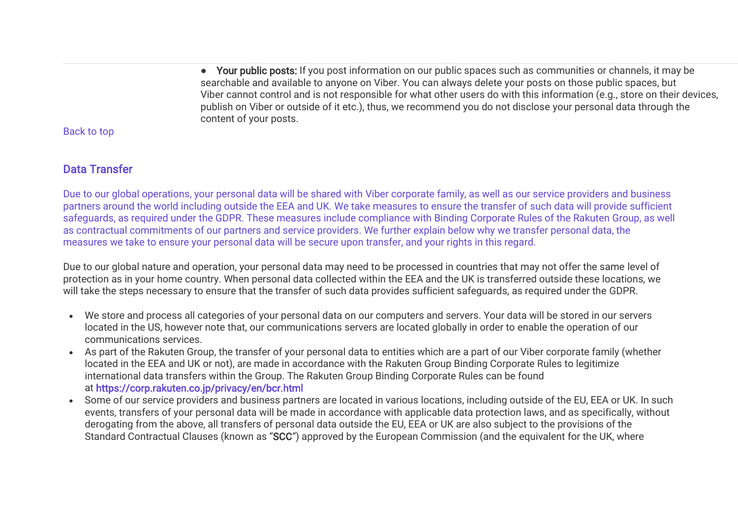● Your public posts: If you post information on our public spaces such as communities or channels, it may be searchable and available to anyone on Viber. You can always delete your posts on those public spaces, but Viber cannot control and is not responsible for what other users do with this information (e.g., store on their devices, publish on Viber or outside of it etc.), thus, we recommend you do not disclose your personal data through the content of your posts.

[Back to top](https://www.staging.viber.com/en/?post_type=terms&p=43645&preview=true#top)

# Data Transfer

Due to our global operations, your personal data will be shared with Viber corporate family, as well as our service providers and business partners around the world including outside the EEA and UK. We take measures to ensure the transfer of such data will provide sufficient safeguards, as required under the GDPR. These measures include compliance with Binding Corporate Rules of the Rakuten Group, as well as contractual commitments of our partners and service providers. We further explain below why we transfer personal data, the measures we take to ensure your personal data will be secure upon transfer, and your rights in this regard.

Due to our global nature and operation, your personal data may need to be processed in countries that may not offer the same level of protection as in your home country. When personal data collected within the EEA and the UK is transferred outside these locations, we will take the steps necessary to ensure that the transfer of such data provides sufficient safeguards, as required under the GDPR.

- We store and process all categories of your personal data on our computers and servers. Your data will be stored in our servers located in the US, however note that, our communications servers are located globally in order to enable the operation of our communications services.
- As part of the Rakuten Group, the transfer of your personal data to entities which are a part of our Viber corporate family (whether located in the EEA and UK or not), are made in accordance with the Rakuten Group Binding Corporate Rules to legitimize international data transfers within the Group. The Rakuten Group Binding Corporate Rules can be found at <https://corp.rakuten.co.jp/privacy/en/bcr.html>
- Some of our service providers and business partners are located in various locations, including outside of the EU, EEA or UK. In such events, transfers of your personal data will be made in accordance with applicable data protection laws, and as specifically, without derogating from the above, all transfers of personal data outside the EU, EEA or UK are also subject to the provisions of the Standard Contractual Clauses (known as "SCC") approved by the European Commission (and the equivalent for the UK, where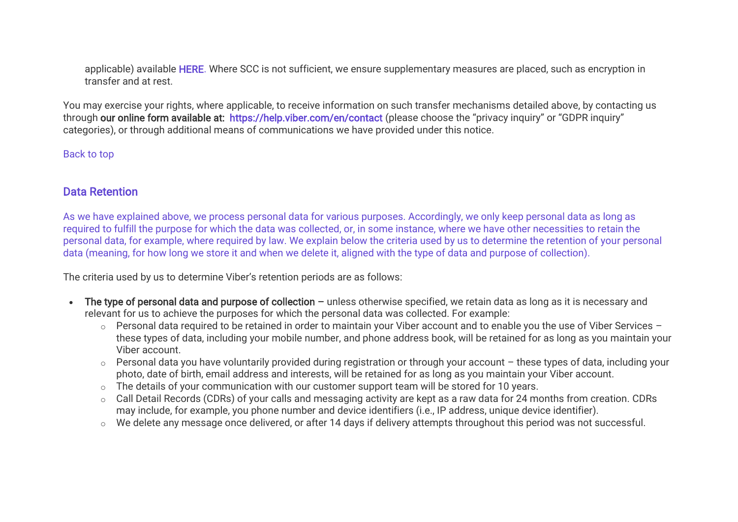applicable) available [HERE.](https://ec.europa.eu/info/system/files/1_en_annexe_acte_autonome_cp_part1_v5_0.pdf) Where SCC is not sufficient, we ensure supplementary measures are placed, such as encryption in transfer and at rest.

You may exercise your rights, where applicable, to receive information on such transfer mechanisms detailed above, by contacting us through our online form available at: <https://help.viber.com/en/contact> (please choose the "privacy inquiry" or "GDPR inquiry" categories), or through additional means of communications we have provided under this notice.

[Back to top](https://www.staging.viber.com/en/?post_type=terms&p=43645&preview=true#top)

# Data Retention

As we have explained above, we process personal data for various purposes. Accordingly, we only keep personal data as long as required to fulfill the purpose for which the data was collected, or, in some instance, where we have other necessities to retain the personal data, for example, where required by law. We explain below the criteria used by us to determine the retention of your personal data (meaning, for how long we store it and when we delete it, aligned with the type of data and purpose of collection).

The criteria used by us to determine Viber's retention periods are as follows:

- The type of personal data and purpose of collection unless otherwise specified, we retain data as long as it is necessary and relevant for us to achieve the purposes for which the personal data was collected. For example:
	- o Personal data required to be retained in order to maintain your Viber account and to enable you the use of Viber Services these types of data, including your mobile number, and phone address book, will be retained for as long as you maintain your Viber account.
	- o Personal data you have voluntarily provided during registration or through your account these types of data, including your photo, date of birth, email address and interests, will be retained for as long as you maintain your Viber account.
	- o The details of your communication with our customer support team will be stored for 10 years.
	- o Call Detail Records (CDRs) of your calls and messaging activity are kept as a raw data for 24 months from creation. CDRs may include, for example, you phone number and device identifiers (i.e., IP address, unique device identifier).
	- o We delete any message once delivered, or after 14 days if delivery attempts throughout this period was not successful.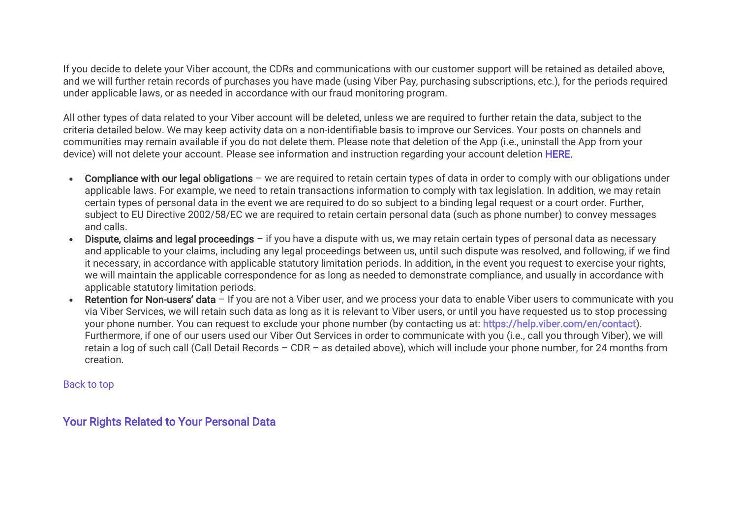If you decide to delete your Viber account, the CDRs and communications with our customer support will be retained as detailed above, and we will further retain records of purchases you have made (using Viber Pay, purchasing subscriptions, etc.), for the periods required under applicable laws, or as needed in accordance with our fraud monitoring program.

All other types of data related to your Viber account will be deleted, unless we are required to further retain the data, subject to the criteria detailed below. We may keep activity data on a non-identifiable basis to improve our Services. Your posts on channels and communities may remain available if you do not delete them. Please note that deletion of the App (i.e., uninstall the App from your device) will not delete your account. Please see information and instruction regarding your account deletion [HERE.](https://help.viber.com/en/article/deactivate-or-uninstall-viber-on-your-phone)

- Compliance with our legal obligations we are required to retain certain types of data in order to comply with our obligations under applicable laws. For example, we need to retain transactions information to comply with tax legislation. In addition, we may retain certain types of personal data in the event we are required to do so subject to a binding legal request or a court order. Further, subject to EU Directive 2002/58/EC we are required to retain certain personal data (such as phone number) to convey messages and calls.
- Dispute, claims and legal proceedings if you have a dispute with us, we may retain certain types of personal data as necessary and applicable to your claims, including any legal proceedings between us, until such dispute was resolved, and following, if we find it necessary, in accordance with applicable statutory limitation periods. In addition, in the event you request to exercise your rights, we will maintain the applicable correspondence for as long as needed to demonstrate compliance, and usually in accordance with applicable statutory limitation periods.
- Retention for Non-users' data If you are not a Viber user, and we process your data to enable Viber users to communicate with you via Viber Services, we will retain such data as long as it is relevant to Viber users, or until you have requested us to stop processing your phone number. You can request to exclude your phone number (by contacting us at: [https://help.viber.com/en/contact\)](https://help.viber.com/en/contact). Furthermore, if one of our users used our Viber Out Services in order to communicate with you (i.e., call you through Viber), we will retain a log of such call (Call Detail Records – CDR – as detailed above), which will include your phone number, for 24 months from creation.

[Back to top](https://www.staging.viber.com/en/?post_type=terms&p=43645&preview=true#top)

# Your Rights Related to Your Personal Data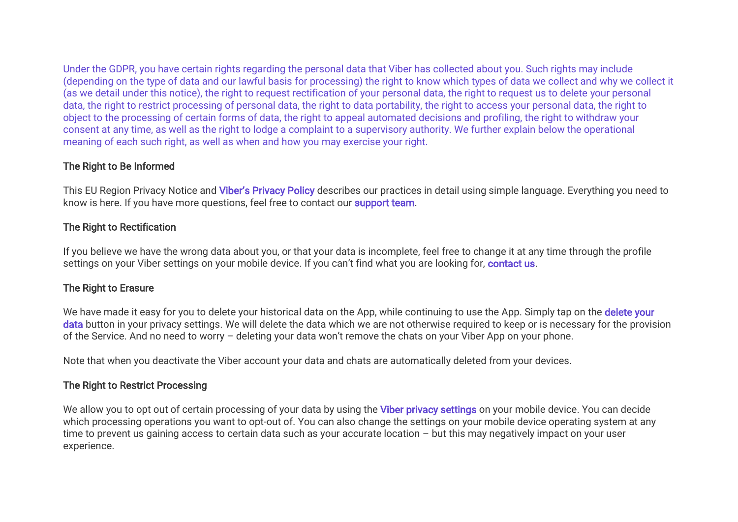Under the GDPR, you have certain rights regarding the personal data that Viber has collected about you. Such rights may include (depending on the type of data and our lawful basis for processing) the right to know which types of data we collect and why we collect it (as we detail under this notice), the right to request rectification of your personal data, the right to request us to delete your personal data, the right to restrict processing of personal data, the right to data portability, the right to access your personal data, the right to object to the processing of certain forms of data, the right to appeal automated decisions and profiling, the right to withdraw your consent at any time, as well as the right to lodge a complaint to a supervisory authority. We further explain below the operational meaning of each such right, as well as when and how you may exercise your right.

## The Right to Be Informed

This EU Region Privacy Notice and Viber's [Privacy Policy](https://www.viber.com/terms/viber-privacy-policy/) describes our practices in detail using simple language. Everything you need to know is here. If you have more questions, feel free to contact ou[r support team.](https://help.viber.com/en/contact)

# The Right to Rectification

If you believe we have the wrong data about you, or that your data is incomplete, feel free to change it at any time through the profile settings on your Viber settings on your mobile device. If you can't find what you are looking for, [contact us.](https://help.viber.com/en/contact)

# The Right to Erasure

We have made it easy for you to delete your historical data on the App, while continuing to use the App. Simply tap on the delete your data button in your privacy settings. We will delete the data which we are not otherwise required to keep or is necessary for the provision of the Service. And no need to worry – deleting your data won't remove the chats on your Viber App on your phone.

Note that when you deactivate the Viber account your data and chats are automatically deleted from your devices.

## The Right to Restrict Processing

We allow you to opt out of certain processing of your data by using the **[Viber privacy settings](https://support.viber.com/customer/portal/articles/2933556)** on your mobile device. You can decide which processing operations you want to opt-out of. You can also change the settings on your mobile device operating system at any time to prevent us gaining access to certain data such as your accurate location – but this may negatively impact on your user experience.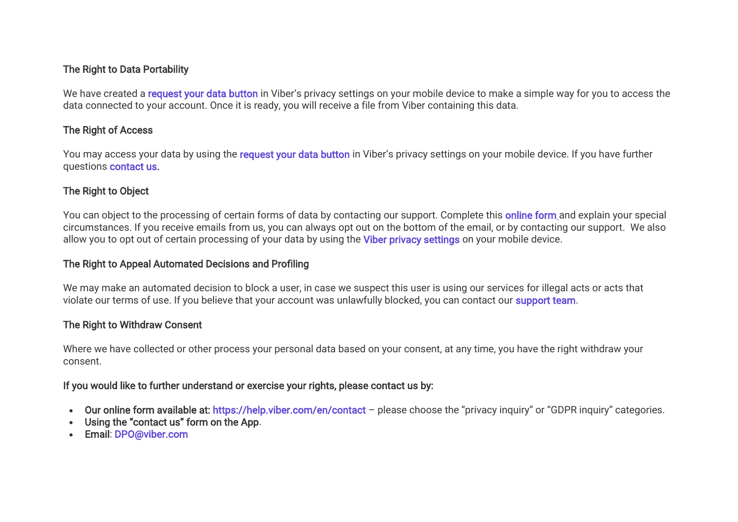## The Right to Data Portability

We have created a [request your data button](https://support.viber.com/customer/portal/articles/2931842) in Viber's privacy settings on your mobile device to make a simple way for you to access the data connected to your account. Once it is ready, you will receive a file from Viber containing this data.

## The Right of Access

You may access your data by using the request your data button in Viber's privacy settings on your mobile device. If you have further questions [contact us.](https://help.viber.com/en/contact)

# The Right to Object

You can object to the processing of certain forms of data by contacting our support. Complete this **online form** and explain your special circumstances. If you receive emails from us, you can always opt out on the bottom of the email, or by contacting our support. We also allow you to opt out of certain processing of your data by using the [Viber privacy settings](https://support.viber.com/customer/portal/articles/2933556) on your mobile device.

## The Right to Appeal Automated Decisions and Profiling

We may make an automated decision to block a user, in case we suspect this user is using our services for illegal acts or acts that violate our terms of use. If you believe that your account was unlawfully blocked, you can contact our [support team.](https://help.viber.com/en/contact)

# The Right to Withdraw Consent

Where we have collected or other process your personal data based on your consent, at any time, you have the right withdraw your consent.

## If you would like to further understand or exercise your rights, please contact us by:

- Our online form available at: <https://help.viber.com/en/contact> please choose the "privacy inquiry" or "GDPR inquiry" categories.
- Using the "contact us" form on the App.
- Email: [DPO@viber.com](mailto:DPO@viber.com)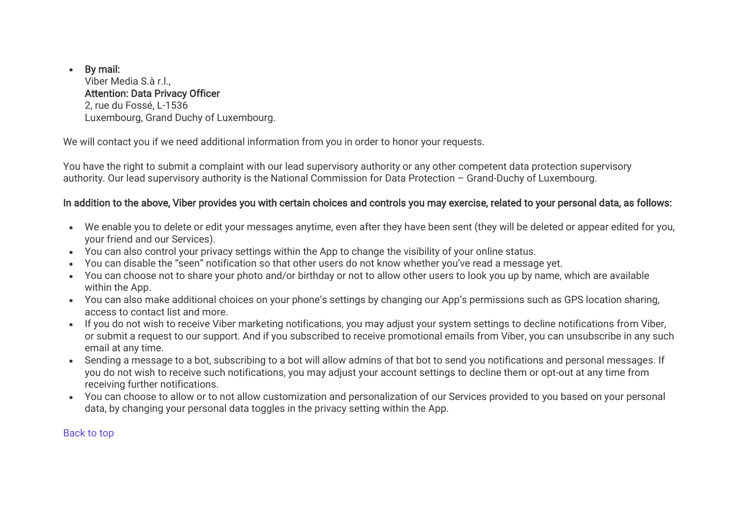## • By mail:

Viber Media S.à r.l., Attention: Data Privacy Officer 2, rue du Fossé, L-1536 Luxembourg, Grand Duchy of Luxembourg.

We will contact you if we need additional information from you in order to honor your requests.

You have the right to submit a complaint with our lead supervisory authority or any other competent data protection supervisory authority. Our lead supervisory authority is the National Commission for Data Protection – Grand-Duchy of Luxembourg.

## In addition to the above, Viber provides you with certain choices and controls you may exercise, related to your personal data, as follows:

- We enable you to delete or edit your messages anytime, even after they have been sent (they will be deleted or appear edited for you, your friend and our Services).
- You can also control your privacy settings within the App to change the visibility of your online status.
- You can disable the "seen" notification so that other users do not know whether you've read a message yet.
- You can choose not to share your photo and/or birthday or not to allow other users to look you up by name, which are available within the App.
- You can also make additional choices on your phone's settings by changing our App's permissions such as GPS location sharing, access to contact list and more.
- If you do not wish to receive Viber marketing notifications, you may adjust your system settings to decline notifications from Viber, or submit a request to our support. And if you subscribed to receive promotional emails from Viber, you can unsubscribe in any such email at any time.
- Sending a message to a bot, subscribing to a bot will allow admins of that bot to send you notifications and personal messages. If you do not wish to receive such notifications, you may adjust your account settings to decline them or opt-out at any time from receiving further notifications.
- You can choose to allow or to not allow customization and personalization of our Services provided to you based on your personal data, by changing your personal data toggles in the privacy setting within the App.

[Back to top](https://www.staging.viber.com/en/?post_type=terms&p=43645&preview=true#top)